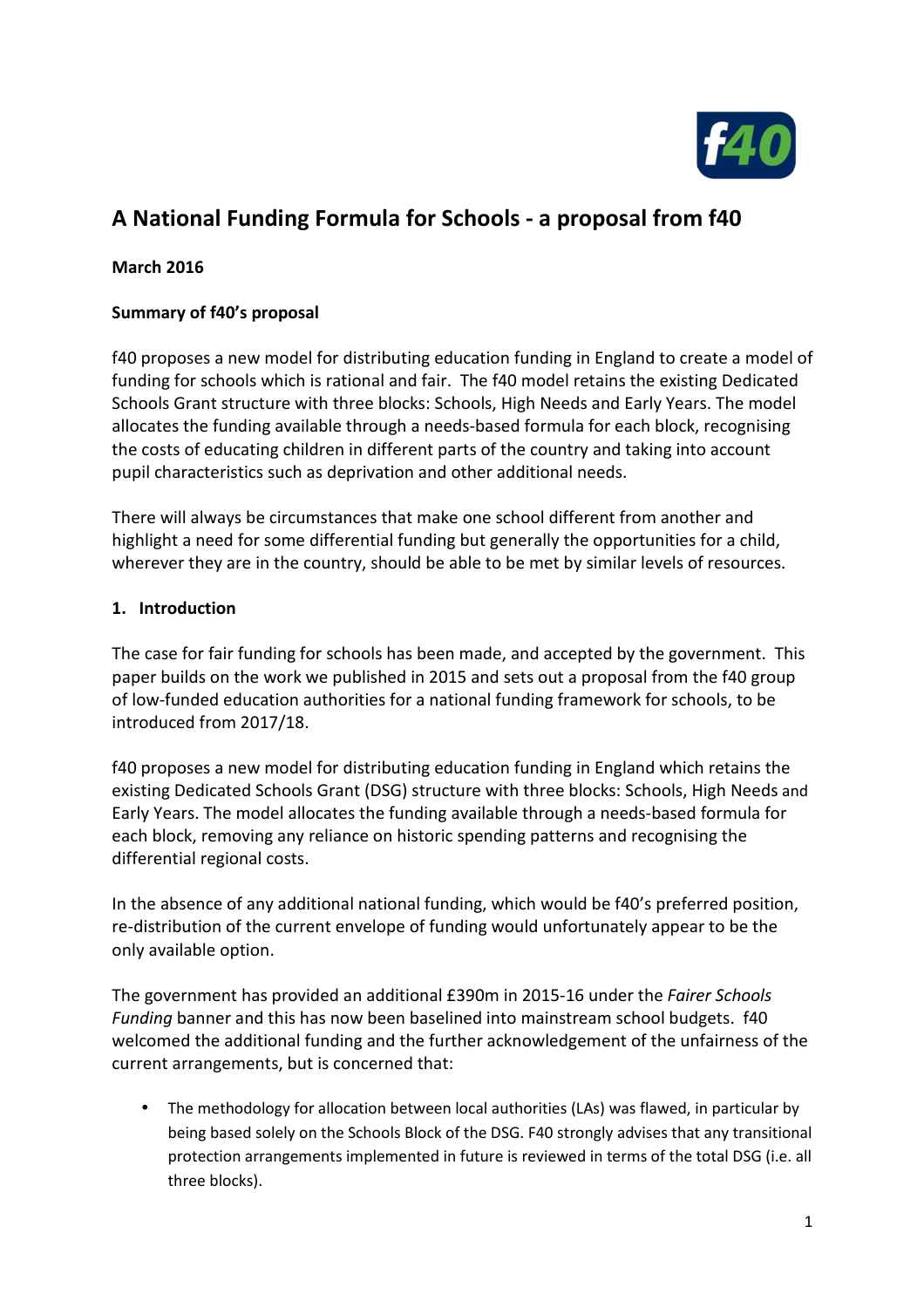

# **A National Funding Formula for Schools - a proposal from f40**

### **March 2016**

### **Summary of f40's proposal**

f40 proposes a new model for distributing education funding in England to create a model of funding for schools which is rational and fair. The f40 model retains the existing Dedicated Schools Grant structure with three blocks: Schools, High Needs and Early Years. The model allocates the funding available through a needs-based formula for each block, recognising the costs of educating children in different parts of the country and taking into account pupil characteristics such as deprivation and other additional needs.

There will always be circumstances that make one school different from another and highlight a need for some differential funding but generally the opportunities for a child, wherever they are in the country, should be able to be met by similar levels of resources.

#### **1. Introduction**

The case for fair funding for schools has been made, and accepted by the government. This paper builds on the work we published in 2015 and sets out a proposal from the f40 group of low-funded education authorities for a national funding framework for schools, to be introduced from 2017/18.

f40 proposes a new model for distributing education funding in England which retains the existing Dedicated Schools Grant (DSG) structure with three blocks: Schools, High Needs and Early Years. The model allocates the funding available through a needs-based formula for each block, removing any reliance on historic spending patterns and recognising the differential regional costs.

In the absence of any additional national funding, which would be f40's preferred position, re-distribution of the current envelope of funding would unfortunately appear to be the only available option.

The government has provided an additional £390m in 2015-16 under the *Fairer Schools Funding* banner and this has now been baselined into mainstream school budgets. f40 welcomed the additional funding and the further acknowledgement of the unfairness of the current arrangements, but is concerned that:

• The methodology for allocation between local authorities (LAs) was flawed, in particular by being based solely on the Schools Block of the DSG. F40 strongly advises that any transitional protection arrangements implemented in future is reviewed in terms of the total DSG (i.e. all three blocks).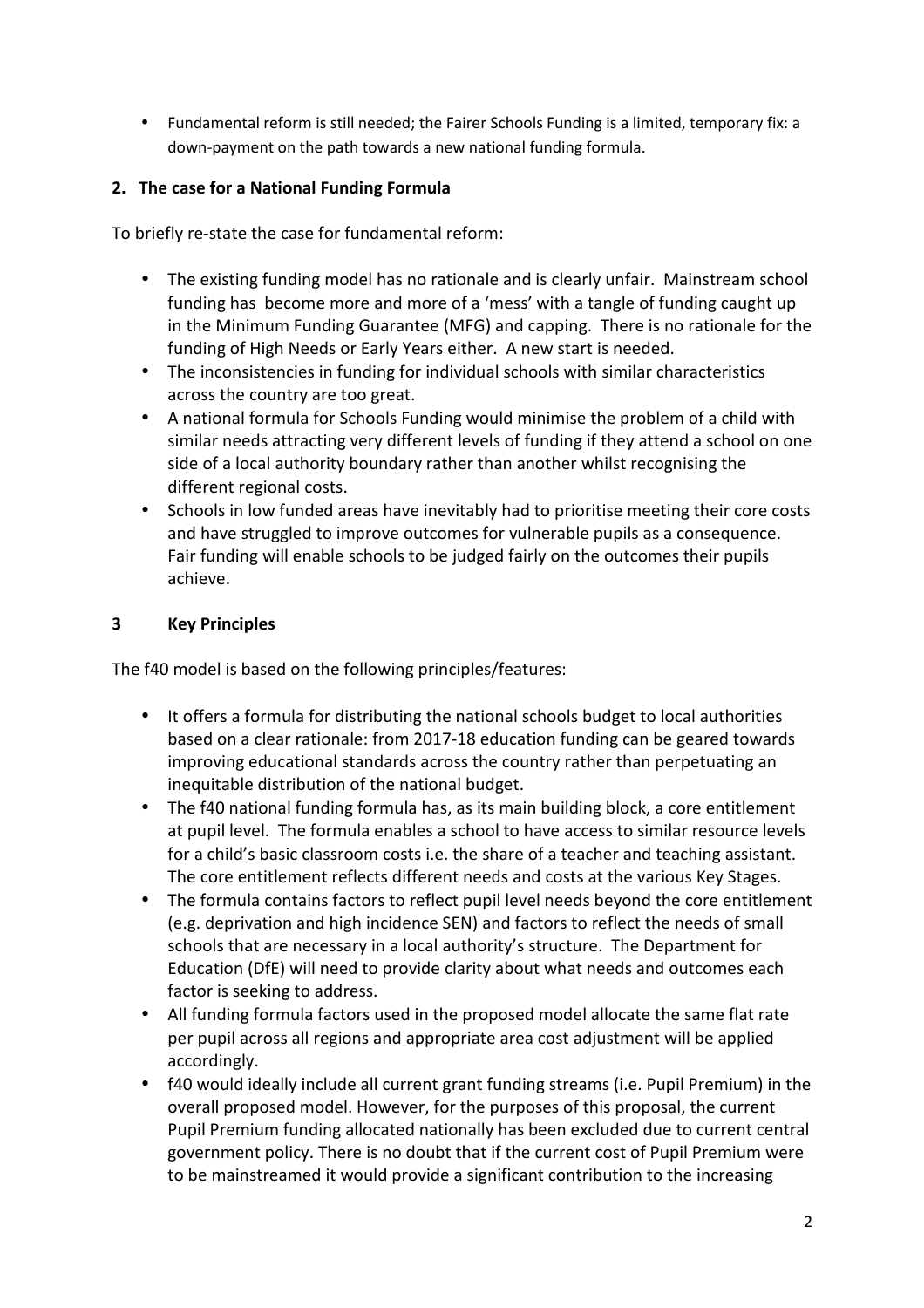• Fundamental reform is still needed; the Fairer Schools Funding is a limited, temporary fix: a down-payment on the path towards a new national funding formula.

# **2. The case for a National Funding Formula**

To briefly re-state the case for fundamental reform:

- The existing funding model has no rationale and is clearly unfair. Mainstream school funding has become more and more of a 'mess' with a tangle of funding caught up in the Minimum Funding Guarantee (MFG) and capping. There is no rationale for the funding of High Needs or Early Years either. A new start is needed.
- The inconsistencies in funding for individual schools with similar characteristics across the country are too great.
- A national formula for Schools Funding would minimise the problem of a child with similar needs attracting very different levels of funding if they attend a school on one side of a local authority boundary rather than another whilst recognising the different regional costs.
- Schools in low funded areas have inevitably had to prioritise meeting their core costs and have struggled to improve outcomes for vulnerable pupils as a consequence. Fair funding will enable schools to be judged fairly on the outcomes their pupils achieve.

# **3 Key Principles**

The f40 model is based on the following principles/features:

- It offers a formula for distributing the national schools budget to local authorities based on a clear rationale: from 2017-18 education funding can be geared towards improving educational standards across the country rather than perpetuating an inequitable distribution of the national budget.
- The f40 national funding formula has, as its main building block, a core entitlement at pupil level. The formula enables a school to have access to similar resource levels for a child's basic classroom costs i.e. the share of a teacher and teaching assistant. The core entitlement reflects different needs and costs at the various Key Stages.
- The formula contains factors to reflect pupil level needs beyond the core entitlement (e.g. deprivation and high incidence SEN) and factors to reflect the needs of small schools that are necessary in a local authority's structure. The Department for Education (DfE) will need to provide clarity about what needs and outcomes each factor is seeking to address.
- All funding formula factors used in the proposed model allocate the same flat rate per pupil across all regions and appropriate area cost adjustment will be applied accordingly.
- f40 would ideally include all current grant funding streams (i.e. Pupil Premium) in the overall proposed model. However, for the purposes of this proposal, the current Pupil Premium funding allocated nationally has been excluded due to current central government policy. There is no doubt that if the current cost of Pupil Premium were to be mainstreamed it would provide a significant contribution to the increasing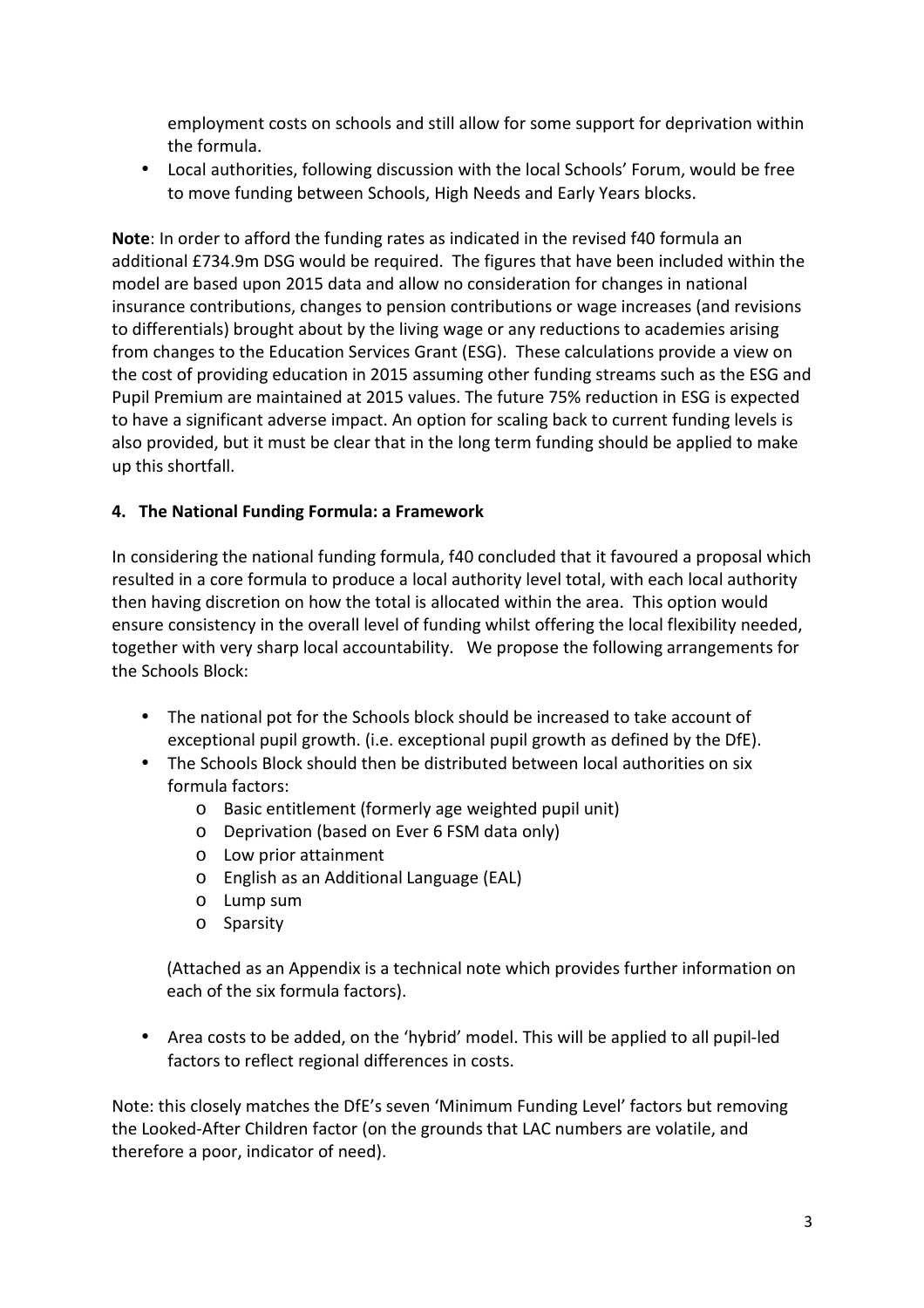employment costs on schools and still allow for some support for deprivation within the formula.

• Local authorities, following discussion with the local Schools' Forum, would be free to move funding between Schools, High Needs and Early Years blocks.

**Note**: In order to afford the funding rates as indicated in the revised f40 formula an additional £734.9m DSG would be required. The figures that have been included within the model are based upon 2015 data and allow no consideration for changes in national insurance contributions, changes to pension contributions or wage increases (and revisions to differentials) brought about by the living wage or any reductions to academies arising from changes to the Education Services Grant (ESG). These calculations provide a view on the cost of providing education in 2015 assuming other funding streams such as the ESG and Pupil Premium are maintained at 2015 values. The future 75% reduction in ESG is expected to have a significant adverse impact. An option for scaling back to current funding levels is also provided, but it must be clear that in the long term funding should be applied to make up this shortfall.

# **4. The National Funding Formula: a Framework**

In considering the national funding formula, f40 concluded that it favoured a proposal which resulted in a core formula to produce a local authority level total, with each local authority then having discretion on how the total is allocated within the area. This option would ensure consistency in the overall level of funding whilst offering the local flexibility needed, together with very sharp local accountability. We propose the following arrangements for the Schools Block:

- The national pot for the Schools block should be increased to take account of exceptional pupil growth. (i.e. exceptional pupil growth as defined by the DfE).
- The Schools Block should then be distributed between local authorities on six formula factors:
	- o Basic entitlement (formerly age weighted pupil unit)
	- o Deprivation (based on Ever 6 FSM data only)
	- o Low prior attainment
	- o English as an Additional Language (EAL)
	- o Lump sum
	- o Sparsity

 (Attached as an Appendix is a technical note which provides further information on each of the six formula factors).

• Area costs to be added, on the 'hybrid' model. This will be applied to all pupil-led factors to reflect regional differences in costs.

Note: this closely matches the DfE's seven 'Minimum Funding Level' factors but removing the Looked-After Children factor (on the grounds that LAC numbers are volatile, and therefore a poor, indicator of need).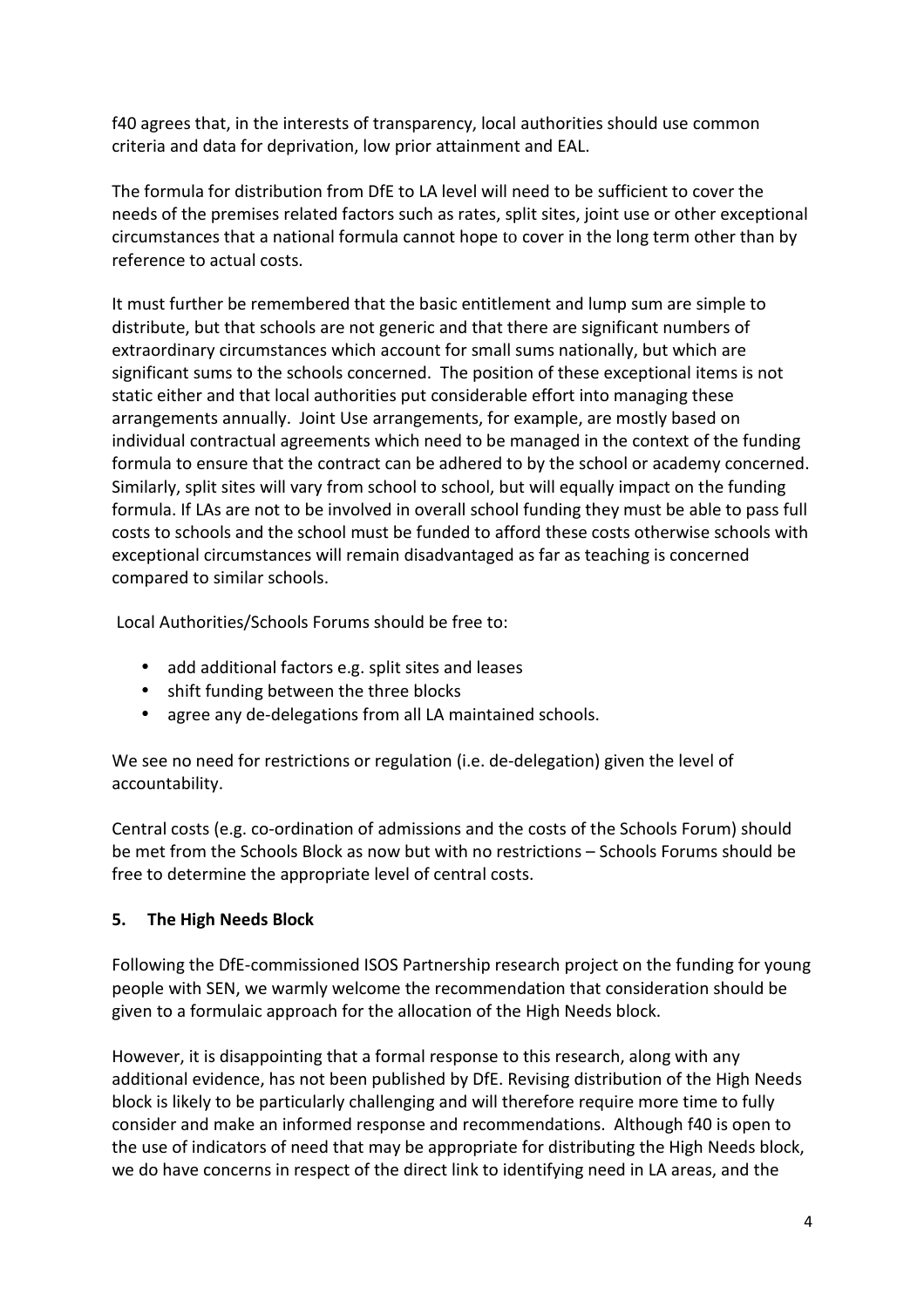f40 agrees that, in the interests of transparency, local authorities should use common criteria and data for deprivation, low prior attainment and EAL.

The formula for distribution from DfE to LA level will need to be sufficient to cover the needs of the premises related factors such as rates, split sites, joint use or other exceptional circumstances that a national formula cannot hope to cover in the long term other than by reference to actual costs.

It must further be remembered that the basic entitlement and lump sum are simple to distribute, but that schools are not generic and that there are significant numbers of extraordinary circumstances which account for small sums nationally, but which are significant sums to the schools concerned. The position of these exceptional items is not static either and that local authorities put considerable effort into managing these arrangements annually. Joint Use arrangements, for example, are mostly based on individual contractual agreements which need to be managed in the context of the funding formula to ensure that the contract can be adhered to by the school or academy concerned. Similarly, split sites will vary from school to school, but will equally impact on the funding formula. If LAs are not to be involved in overall school funding they must be able to pass full costs to schools and the school must be funded to afford these costs otherwise schools with exceptional circumstances will remain disadvantaged as far as teaching is concerned compared to similar schools.

Local Authorities/Schools Forums should be free to:

- add additional factors e.g. split sites and leases
- shift funding between the three blocks
- agree any de-delegations from all LA maintained schools.

We see no need for restrictions or regulation (i.e. de-delegation) given the level of accountability.

Central costs (e.g. co-ordination of admissions and the costs of the Schools Forum) should be met from the Schools Block as now but with no restrictions – Schools Forums should be free to determine the appropriate level of central costs.

# **5. The High Needs Block**

Following the DfE-commissioned ISOS Partnership research project on the funding for young people with SEN, we warmly welcome the recommendation that consideration should be given to a formulaic approach for the allocation of the High Needs block.

However, it is disappointing that a formal response to this research, along with any additional evidence, has not been published by DfE. Revising distribution of the High Needs block is likely to be particularly challenging and will therefore require more time to fully consider and make an informed response and recommendations. Although f40 is open to the use of indicators of need that may be appropriate for distributing the High Needs block, we do have concerns in respect of the direct link to identifying need in LA areas, and the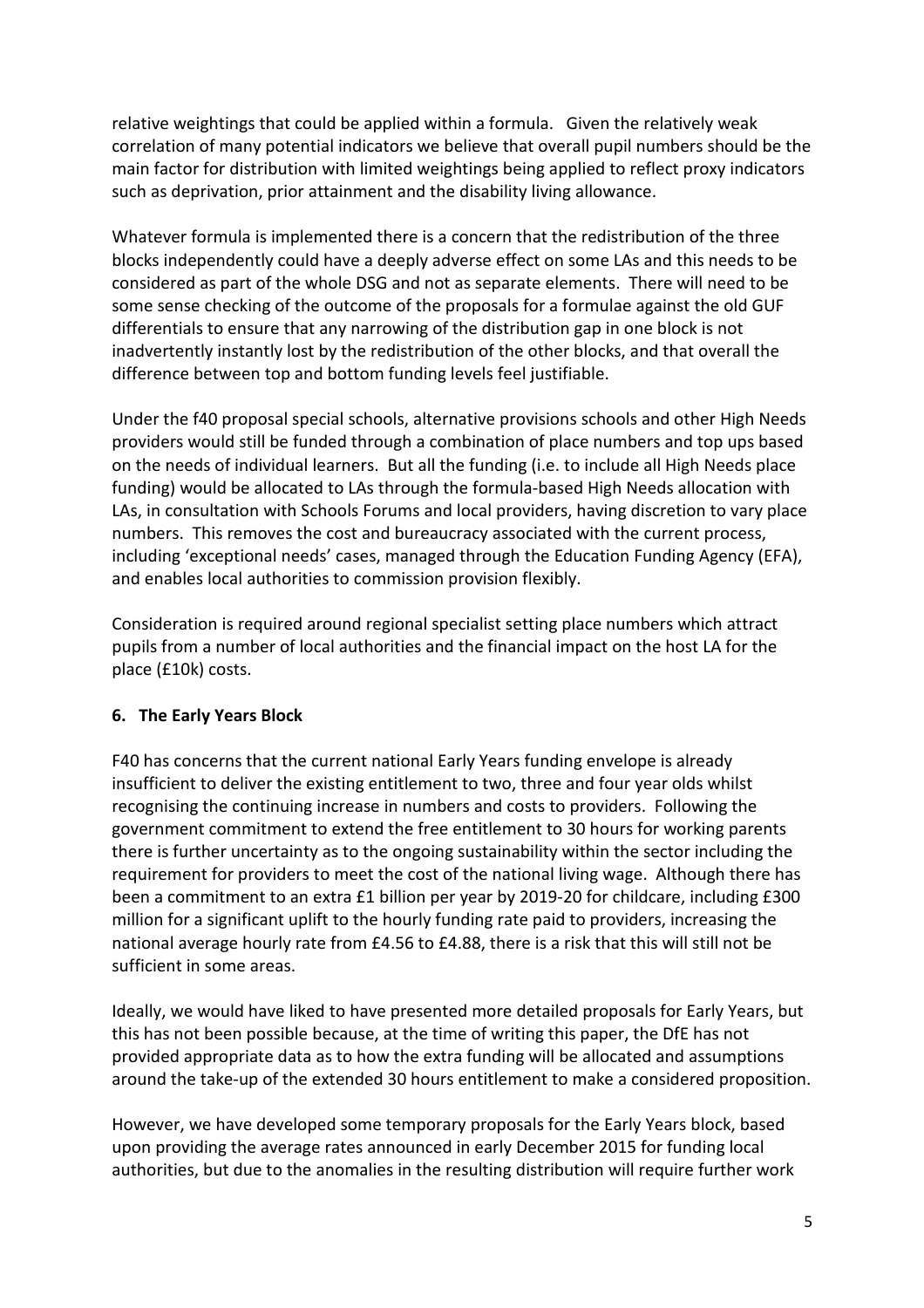relative weightings that could be applied within a formula. Given the relatively weak correlation of many potential indicators we believe that overall pupil numbers should be the main factor for distribution with limited weightings being applied to reflect proxy indicators such as deprivation, prior attainment and the disability living allowance.

Whatever formula is implemented there is a concern that the redistribution of the three blocks independently could have a deeply adverse effect on some LAs and this needs to be considered as part of the whole DSG and not as separate elements. There will need to be some sense checking of the outcome of the proposals for a formulae against the old GUF differentials to ensure that any narrowing of the distribution gap in one block is not inadvertently instantly lost by the redistribution of the other blocks, and that overall the difference between top and bottom funding levels feel justifiable.

Under the f40 proposal special schools, alternative provisions schools and other High Needs providers would still be funded through a combination of place numbers and top ups based on the needs of individual learners. But all the funding (i.e. to include all High Needs place funding) would be allocated to LAs through the formula-based High Needs allocation with LAs, in consultation with Schools Forums and local providers, having discretion to vary place numbers. This removes the cost and bureaucracy associated with the current process, including 'exceptional needs' cases, managed through the Education Funding Agency (EFA), and enables local authorities to commission provision flexibly.

Consideration is required around regional specialist setting place numbers which attract pupils from a number of local authorities and the financial impact on the host LA for the place (£10k) costs.

### **6. The Early Years Block**

F40 has concerns that the current national Early Years funding envelope is already insufficient to deliver the existing entitlement to two, three and four year olds whilst recognising the continuing increase in numbers and costs to providers. Following the government commitment to extend the free entitlement to 30 hours for working parents there is further uncertainty as to the ongoing sustainability within the sector including the requirement for providers to meet the cost of the national living wage. Although there has been a commitment to an extra £1 billion per year by 2019-20 for childcare, including £300 million for a significant uplift to the hourly funding rate paid to providers, increasing the national average hourly rate from £4.56 to £4.88, there is a risk that this will still not be sufficient in some areas.

Ideally, we would have liked to have presented more detailed proposals for Early Years, but this has not been possible because, at the time of writing this paper, the DfE has not provided appropriate data as to how the extra funding will be allocated and assumptions around the take-up of the extended 30 hours entitlement to make a considered proposition.

However, we have developed some temporary proposals for the Early Years block, based upon providing the average rates announced in early December 2015 for funding local authorities, but due to the anomalies in the resulting distribution will require further work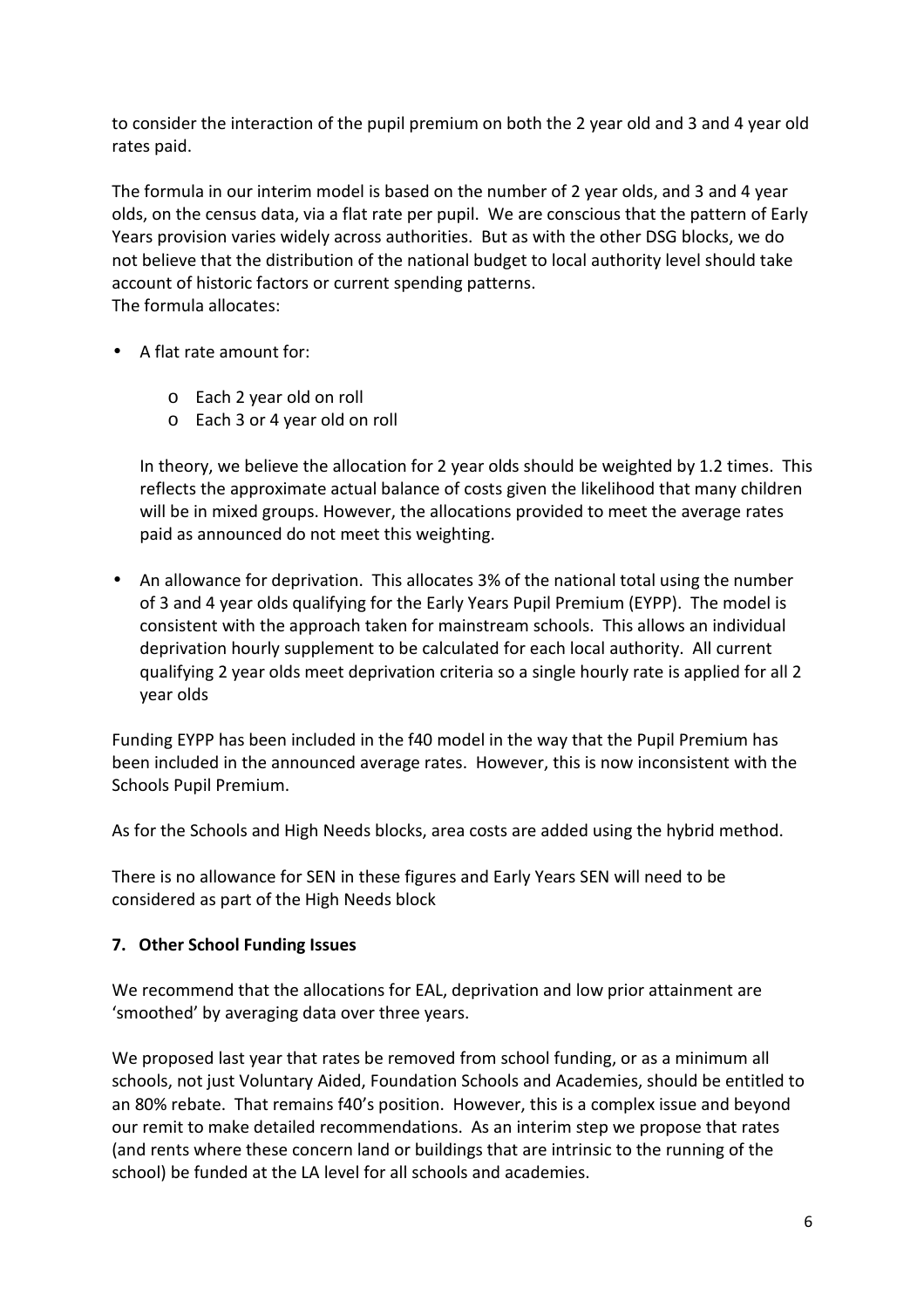to consider the interaction of the pupil premium on both the 2 year old and 3 and 4 year old rates paid.

The formula in our interim model is based on the number of 2 year olds, and 3 and 4 year olds, on the census data, via a flat rate per pupil. We are conscious that the pattern of Early Years provision varies widely across authorities. But as with the other DSG blocks, we do not believe that the distribution of the national budget to local authority level should take account of historic factors or current spending patterns. The formula allocates:

- A flat rate amount for:
	- o Each 2 year old on roll
	- o Each 3 or 4 year old on roll

In theory, we believe the allocation for 2 year olds should be weighted by 1.2 times. This reflects the approximate actual balance of costs given the likelihood that many children will be in mixed groups. However, the allocations provided to meet the average rates paid as announced do not meet this weighting.

• An allowance for deprivation. This allocates 3% of the national total using the number of 3 and 4 year olds qualifying for the Early Years Pupil Premium (EYPP). The model is consistent with the approach taken for mainstream schools. This allows an individual deprivation hourly supplement to be calculated for each local authority. All current qualifying 2 year olds meet deprivation criteria so a single hourly rate is applied for all 2 year olds

Funding EYPP has been included in the f40 model in the way that the Pupil Premium has been included in the announced average rates. However, this is now inconsistent with the Schools Pupil Premium.

As for the Schools and High Needs blocks, area costs are added using the hybrid method.

There is no allowance for SEN in these figures and Early Years SEN will need to be considered as part of the High Needs block

### **7. Other School Funding Issues**

We recommend that the allocations for EAL, deprivation and low prior attainment are 'smoothed' by averaging data over three years.

We proposed last year that rates be removed from school funding, or as a minimum all schools, not just Voluntary Aided, Foundation Schools and Academies, should be entitled to an 80% rebate. That remains f40's position. However, this is a complex issue and beyond our remit to make detailed recommendations. As an interim step we propose that rates (and rents where these concern land or buildings that are intrinsic to the running of the school) be funded at the LA level for all schools and academies.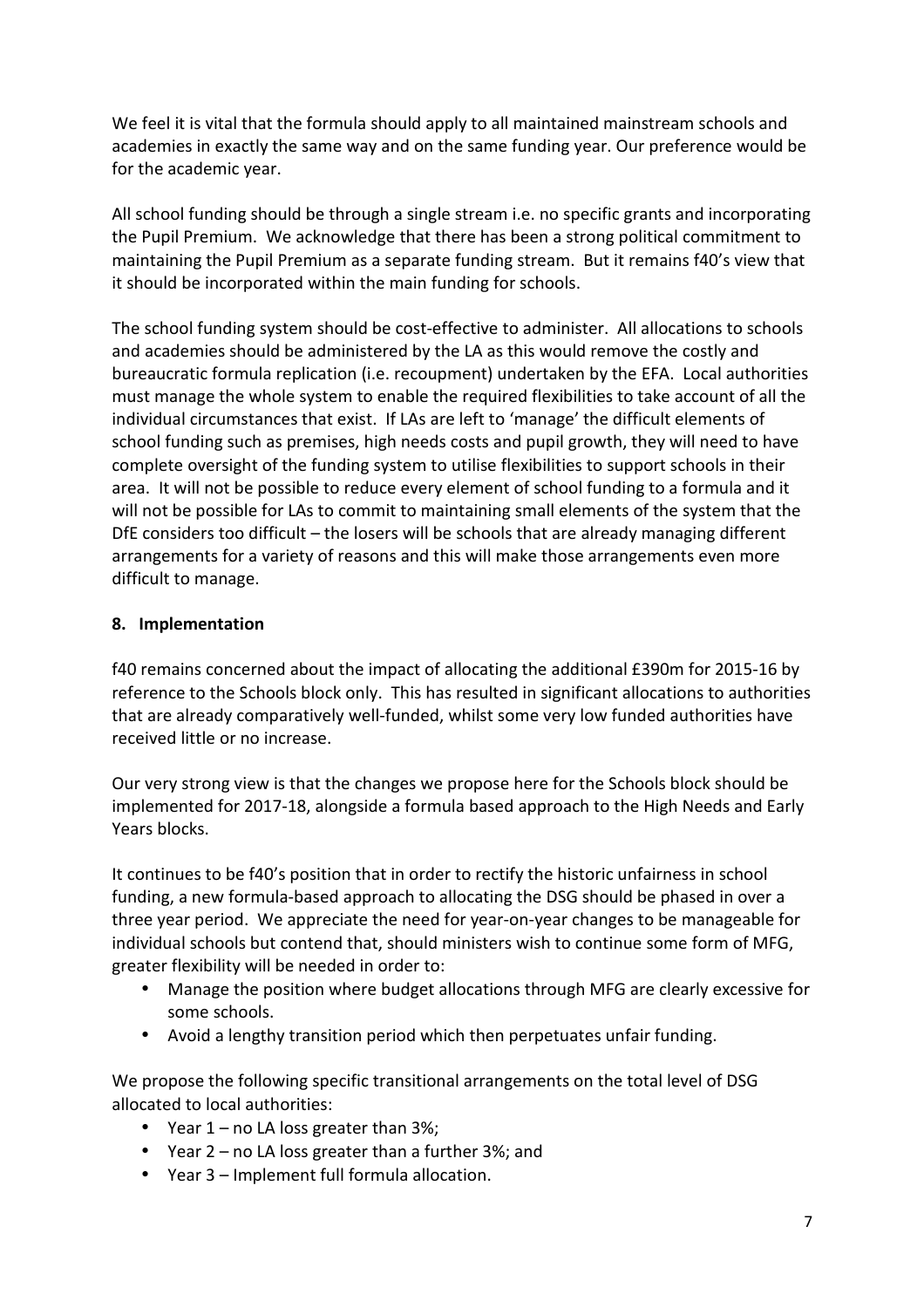We feel it is vital that the formula should apply to all maintained mainstream schools and academies in exactly the same way and on the same funding year. Our preference would be for the academic year.

All school funding should be through a single stream i.e. no specific grants and incorporating the Pupil Premium. We acknowledge that there has been a strong political commitment to maintaining the Pupil Premium as a separate funding stream. But it remains f40's view that it should be incorporated within the main funding for schools.

The school funding system should be cost-effective to administer. All allocations to schools and academies should be administered by the LA as this would remove the costly and bureaucratic formula replication (i.e. recoupment) undertaken by the EFA. Local authorities must manage the whole system to enable the required flexibilities to take account of all the individual circumstances that exist. If LAs are left to 'manage' the difficult elements of school funding such as premises, high needs costs and pupil growth, they will need to have complete oversight of the funding system to utilise flexibilities to support schools in their area. It will not be possible to reduce every element of school funding to a formula and it will not be possible for LAs to commit to maintaining small elements of the system that the DfE considers too difficult – the losers will be schools that are already managing different arrangements for a variety of reasons and this will make those arrangements even more difficult to manage.

### **8. Implementation**

f40 remains concerned about the impact of allocating the additional £390m for 2015-16 by reference to the Schools block only. This has resulted in significant allocations to authorities that are already comparatively well-funded, whilst some very low funded authorities have received little or no increase.

Our very strong view is that the changes we propose here for the Schools block should be implemented for 2017-18, alongside a formula based approach to the High Needs and Early Years blocks.

It continues to be f40's position that in order to rectify the historic unfairness in school funding, a new formula-based approach to allocating the DSG should be phased in over a three year period. We appreciate the need for year-on-year changes to be manageable for individual schools but contend that, should ministers wish to continue some form of MFG, greater flexibility will be needed in order to:

- Manage the position where budget allocations through MFG are clearly excessive for some schools.
- Avoid a lengthy transition period which then perpetuates unfair funding.

We propose the following specific transitional arrangements on the total level of DSG allocated to local authorities:

- Year 1 no LA loss greater than 3%;
- Year 2 no LA loss greater than a further 3%; and
- Year 3 Implement full formula allocation.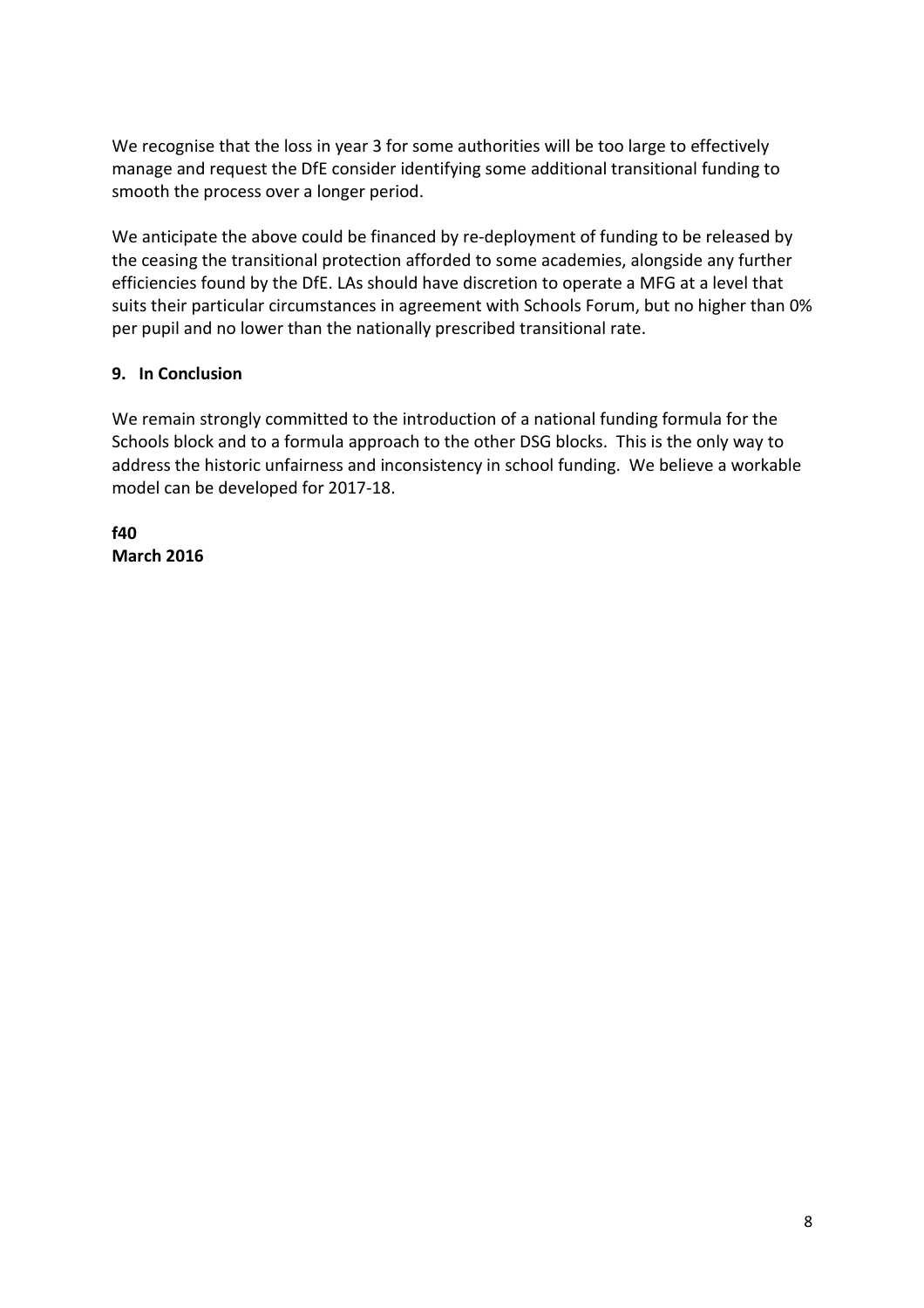We recognise that the loss in year 3 for some authorities will be too large to effectively manage and request the DfE consider identifying some additional transitional funding to smooth the process over a longer period.

We anticipate the above could be financed by re-deployment of funding to be released by the ceasing the transitional protection afforded to some academies, alongside any further efficiencies found by the DfE. LAs should have discretion to operate a MFG at a level that suits their particular circumstances in agreement with Schools Forum, but no higher than 0% per pupil and no lower than the nationally prescribed transitional rate.

# **9. In Conclusion**

We remain strongly committed to the introduction of a national funding formula for the Schools block and to a formula approach to the other DSG blocks. This is the only way to address the historic unfairness and inconsistency in school funding. We believe a workable model can be developed for 2017-18.

**f40 March 2016**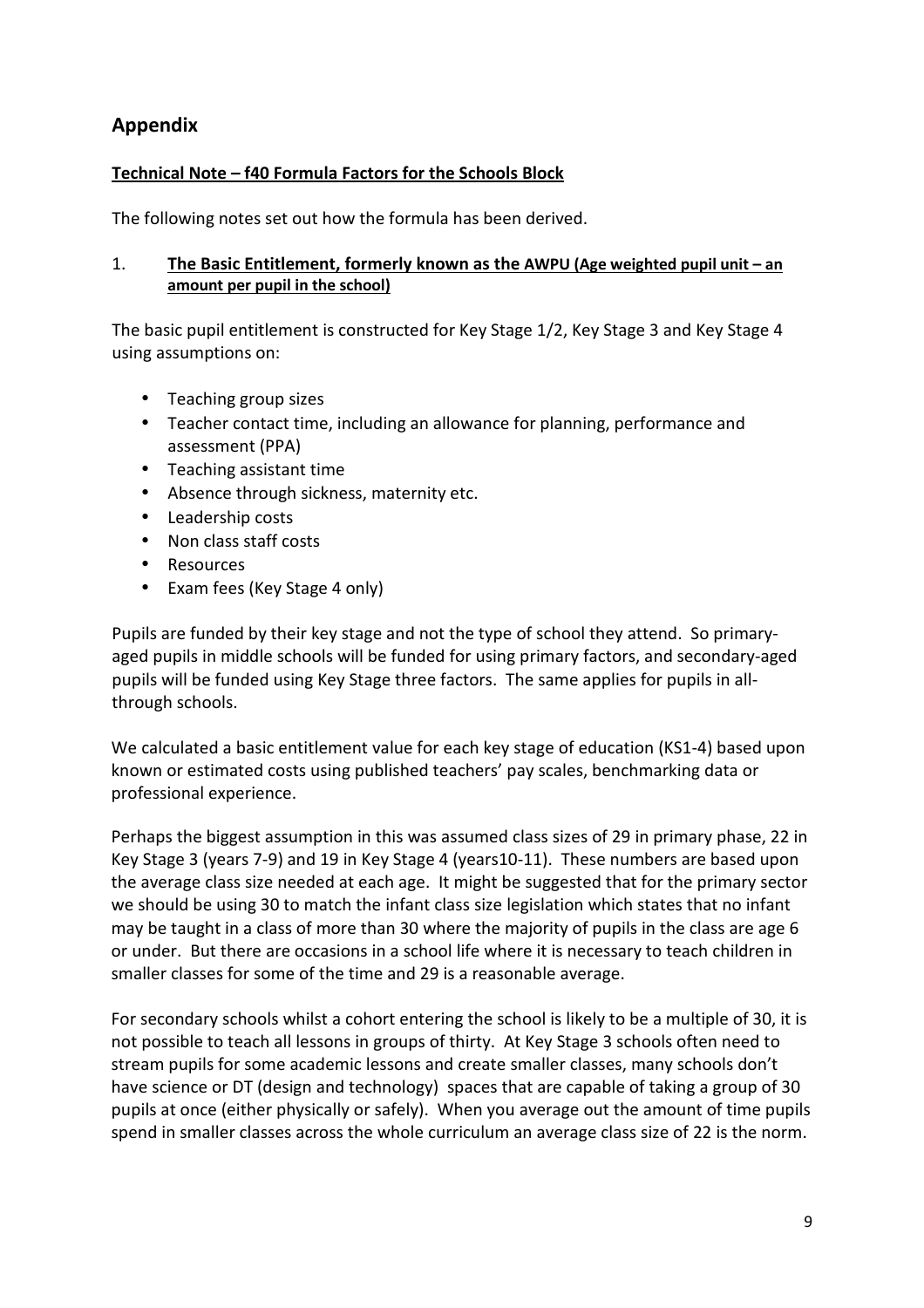# **Appendix**

# **Technical Note – f40 Formula Factors for the Schools Block**

The following notes set out how the formula has been derived.

### 1. **The Basic Entitlement, formerly known as the AWPU (Age weighted pupil unit – an amount per pupil in the school)**

The basic pupil entitlement is constructed for Key Stage 1/2, Key Stage 3 and Key Stage 4 using assumptions on:

- Teaching group sizes
- Teacher contact time, including an allowance for planning, performance and assessment (PPA)
- Teaching assistant time
- Absence through sickness, maternity etc.
- Leadership costs
- Non class staff costs
- Resources
- Exam fees (Key Stage 4 only)

Pupils are funded by their key stage and not the type of school they attend. So primaryaged pupils in middle schools will be funded for using primary factors, and secondary-aged pupils will be funded using Key Stage three factors. The same applies for pupils in allthrough schools.

We calculated a basic entitlement value for each key stage of education (KS1-4) based upon known or estimated costs using published teachers' pay scales, benchmarking data or professional experience.

Perhaps the biggest assumption in this was assumed class sizes of 29 in primary phase, 22 in Key Stage 3 (years 7-9) and 19 in Key Stage 4 (years10-11). These numbers are based upon the average class size needed at each age. It might be suggested that for the primary sector we should be using 30 to match the infant class size legislation which states that no infant may be taught in a class of more than 30 where the majority of pupils in the class are age 6 or under. But there are occasions in a school life where it is necessary to teach children in smaller classes for some of the time and 29 is a reasonable average.

For secondary schools whilst a cohort entering the school is likely to be a multiple of 30, it is not possible to teach all lessons in groups of thirty. At Key Stage 3 schools often need to stream pupils for some academic lessons and create smaller classes, many schools don't have science or DT (design and technology) spaces that are capable of taking a group of 30 pupils at once (either physically or safely). When you average out the amount of time pupils spend in smaller classes across the whole curriculum an average class size of 22 is the norm.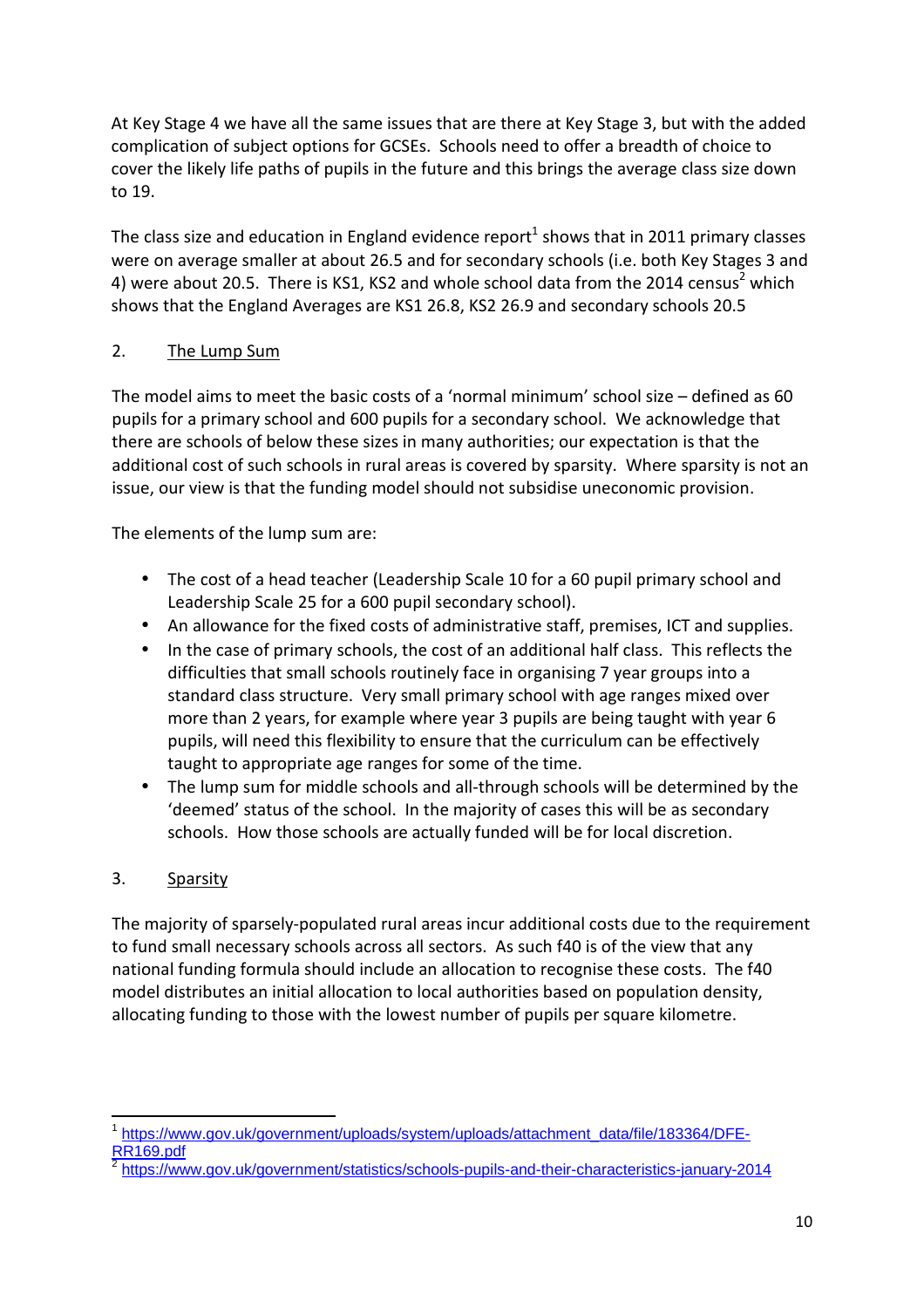At Key Stage 4 we have all the same issues that are there at Key Stage 3, but with the added complication of subject options for GCSEs. Schools need to offer a breadth of choice to cover the likely life paths of pupils in the future and this brings the average class size down to 19.

The class size and education in England evidence report<sup>1</sup> shows that in 2011 primary classes were on average smaller at about 26.5 and for secondary schools (i.e. both Key Stages 3 and 4) were about 20.5. There is KS1, KS2 and whole school data from the 2014 census<sup>2</sup> which shows that the England Averages are KS1 26.8, KS2 26.9 and secondary schools 20.5

# 2. The Lump Sum

The model aims to meet the basic costs of a 'normal minimum' school size – defined as 60 pupils for a primary school and 600 pupils for a secondary school. We acknowledge that there are schools of below these sizes in many authorities; our expectation is that the additional cost of such schools in rural areas is covered by sparsity. Where sparsity is not an issue, our view is that the funding model should not subsidise uneconomic provision.

The elements of the lump sum are:

- The cost of a head teacher (Leadership Scale 10 for a 60 pupil primary school and Leadership Scale 25 for a 600 pupil secondary school).
- An allowance for the fixed costs of administrative staff, premises, ICT and supplies.
- In the case of primary schools, the cost of an additional half class. This reflects the difficulties that small schools routinely face in organising 7 year groups into a standard class structure. Very small primary school with age ranges mixed over more than 2 years, for example where year 3 pupils are being taught with year 6 pupils, will need this flexibility to ensure that the curriculum can be effectively taught to appropriate age ranges for some of the time.
- The lump sum for middle schools and all-through schools will be determined by the 'deemed' status of the school. In the majority of cases this will be as secondary schools. How those schools are actually funded will be for local discretion.

# 3. Sparsity

 $\overline{a}$ 

The majority of sparsely-populated rural areas incur additional costs due to the requirement to fund small necessary schools across all sectors. As such f40 is of the view that any national funding formula should include an allocation to recognise these costs. The f40 model distributes an initial allocation to local authorities based on population density, allocating funding to those with the lowest number of pupils per square kilometre.

<sup>1</sup> https://www.gov.uk/government/uploads/system/uploads/attachment\_data/file/183364/DFE-RR169.pdf

<sup>2</sup> https://www.gov.uk/government/statistics/schools-pupils-and-their-characteristics-january-2014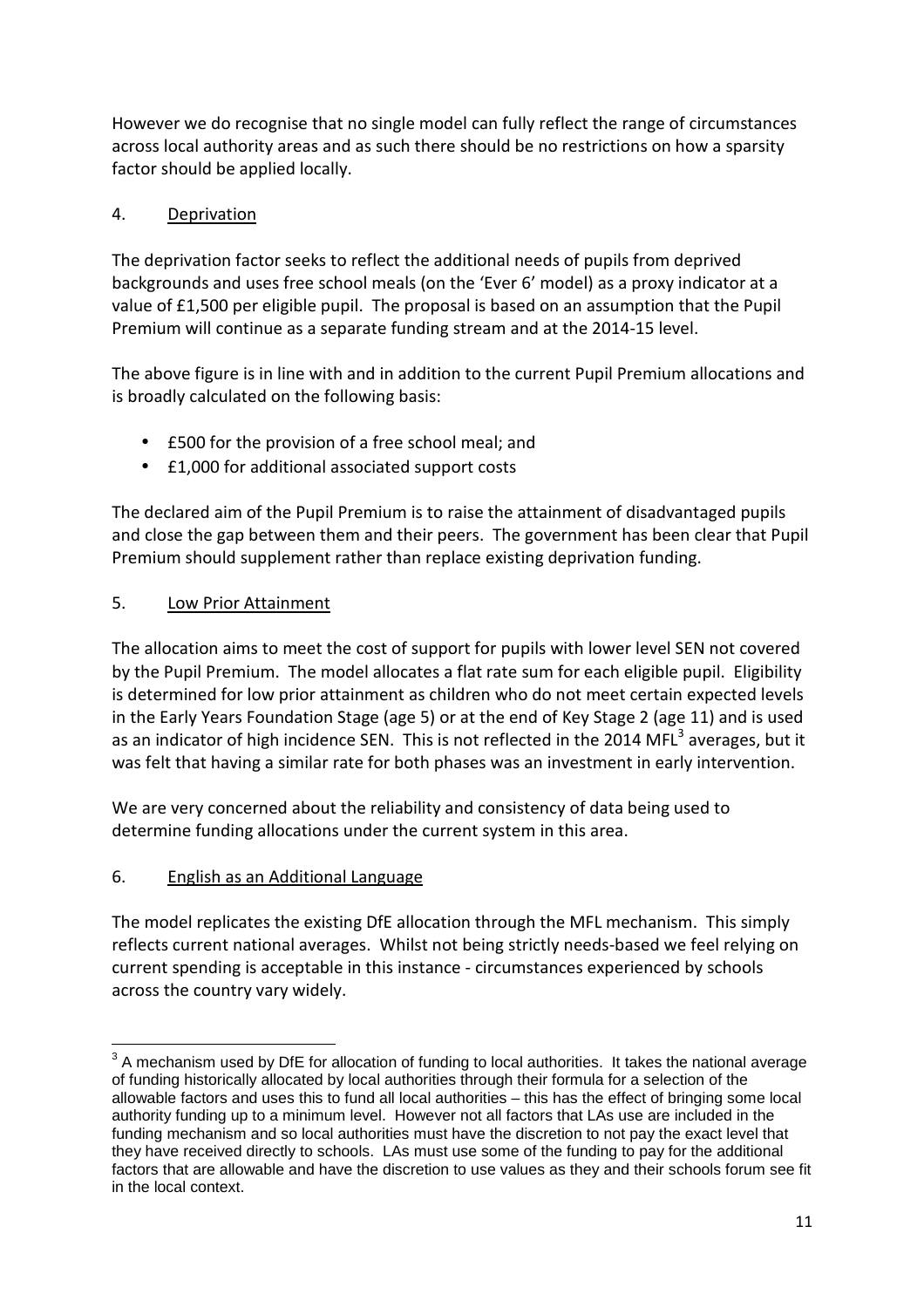However we do recognise that no single model can fully reflect the range of circumstances across local authority areas and as such there should be no restrictions on how a sparsity factor should be applied locally.

# 4. Deprivation

The deprivation factor seeks to reflect the additional needs of pupils from deprived backgrounds and uses free school meals (on the 'Ever 6' model) as a proxy indicator at a value of £1,500 per eligible pupil. The proposal is based on an assumption that the Pupil Premium will continue as a separate funding stream and at the 2014-15 level.

The above figure is in line with and in addition to the current Pupil Premium allocations and is broadly calculated on the following basis:

- £500 for the provision of a free school meal; and
- £1,000 for additional associated support costs

The declared aim of the Pupil Premium is to raise the attainment of disadvantaged pupils and close the gap between them and their peers. The government has been clear that Pupil Premium should supplement rather than replace existing deprivation funding.

# 5. Low Prior Attainment

The allocation aims to meet the cost of support for pupils with lower level SEN not covered by the Pupil Premium. The model allocates a flat rate sum for each eligible pupil. Eligibility is determined for low prior attainment as children who do not meet certain expected levels in the Early Years Foundation Stage (age 5) or at the end of Key Stage 2 (age 11) and is used as an indicator of high incidence SEN. This is not reflected in the 2014 MFL<sup>3</sup> averages, but it was felt that having a similar rate for both phases was an investment in early intervention.

We are very concerned about the reliability and consistency of data being used to determine funding allocations under the current system in this area.

# 6. English as an Additional Language

The model replicates the existing DfE allocation through the MFL mechanism. This simply reflects current national averages. Whilst not being strictly needs-based we feel relying on current spending is acceptable in this instance - circumstances experienced by schools across the country vary widely.

 $\overline{a}$  $3$  A mechanism used by DfE for allocation of funding to local authorities. It takes the national average of funding historically allocated by local authorities through their formula for a selection of the allowable factors and uses this to fund all local authorities – this has the effect of bringing some local authority funding up to a minimum level. However not all factors that LAs use are included in the funding mechanism and so local authorities must have the discretion to not pay the exact level that they have received directly to schools. LAs must use some of the funding to pay for the additional factors that are allowable and have the discretion to use values as they and their schools forum see fit in the local context.